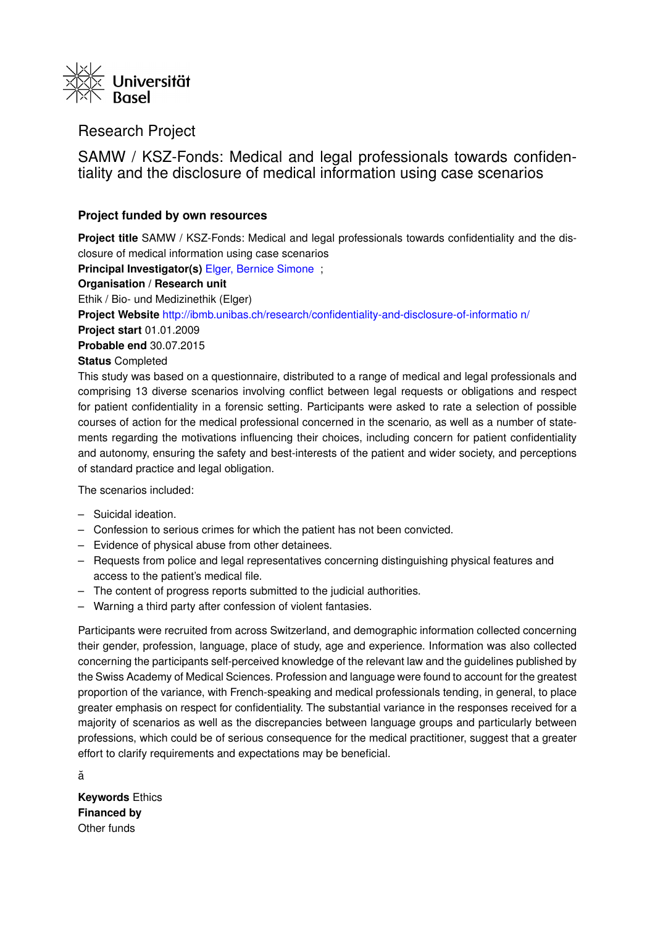

## Research Project

SAMW / KSZ-Fonds: Medical and legal professionals towards confidentiality and the disclosure of medical information using case scenarios

## **Project funded by own resources**

**Project title** SAMW / KSZ-Fonds: Medical and legal professionals towards confidentiality and the disclosure of medical information using case scenarios

**Principal Investigator(s)** [Elger, Bernice Simone](https://forschdb2.unibas.ch/inf2/profiles_view/profile_view.php?pid=4dbe2121d1ce2&int=2) ;

## **Organisation / Research unit**

Ethik / Bio- und Medizinethik (Elger)

**Project Website** [http://ibmb.unibas.ch/research/confidentiality-and-disclosure-of-informatio](http://ibmb.unibas.ch/research/confidentiality-and-disclosure-of-information/) [n/](http://ibmb.unibas.ch/research/confidentiality-and-disclosure-of-information/)

**Project start** 01.01.2009

**Probable end** 30.07.2015

## **Status** Completed

This study was based on a questionnaire, distributed to a range of medical and legal professionals and comprising 13 diverse scenarios involving conflict between legal requests or obligations and respect for patient confidentiality in a forensic setting. Participants were asked to rate a selection of possible courses of action for the medical professional concerned in the scenario, as well as a number of statements regarding the motivations influencing their choices, including concern for patient confidentiality and autonomy, ensuring the safety and best-interests of the patient and wider society, and perceptions of standard practice and legal obligation.

The scenarios included:

- Suicidal ideation.
- Confession to serious crimes for which the patient has not been convicted.
- Evidence of physical abuse from other detainees.
- Requests from police and legal representatives concerning distinguishing physical features and access to the patient's medical file.
- The content of progress reports submitted to the judicial authorities.
- Warning a third party after confession of violent fantasies.

Participants were recruited from across Switzerland, and demographic information collected concerning their gender, profession, language, place of study, age and experience. Information was also collected concerning the participants self-perceived knowledge of the relevant law and the guidelines published by the Swiss Academy of Medical Sciences. Profession and language were found to account for the greatest proportion of the variance, with French-speaking and medical professionals tending, in general, to place greater emphasis on respect for confidentiality. The substantial variance in the responses received for a majority of scenarios as well as the discrepancies between language groups and particularly between professions, which could be of serious consequence for the medical practitioner, suggest that a greater effort to clarify requirements and expectations may be beneficial.

ă

**Keywords** Ethics **Financed by** Other funds